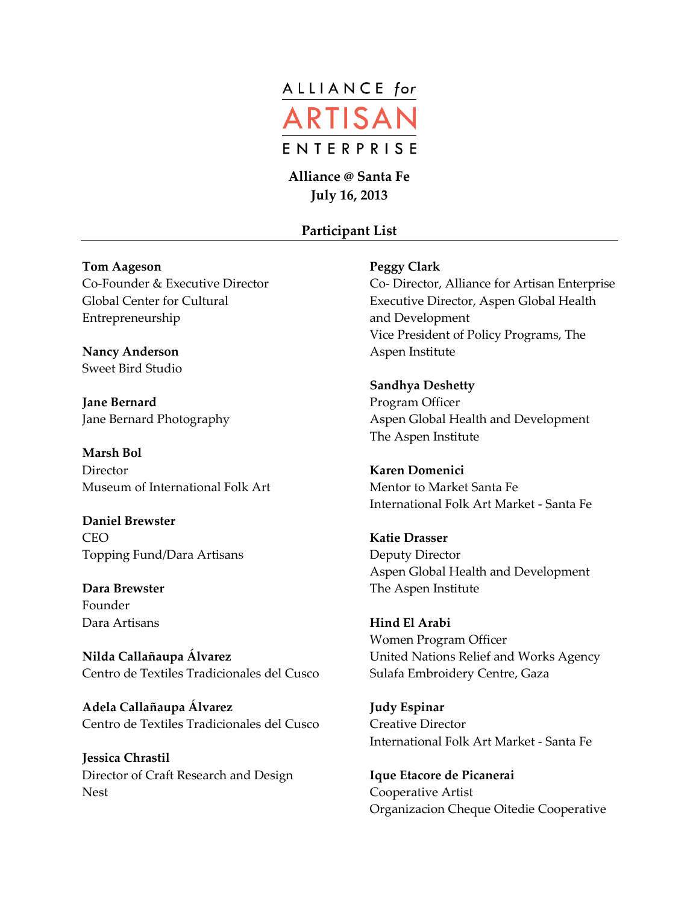

**Alliance @ Santa Fe July 16, 2013**

## **Participant List**

## **Tom Aageson**

Co-Founder & Executive Director Global Center for Cultural Entrepreneurship

**Nancy Anderson** Sweet Bird Studio

**Jane Bernard** Jane Bernard Photography

**Marsh Bol Director** Museum of International Folk Art

**Daniel Brewster CEO** Topping Fund/Dara Artisans

**Dara Brewster** Founder Dara Artisans

**Nilda Callañaupa Álvarez** Centro de Textiles Tradicionales del Cusco

**Adela Callañaupa Álvarez** Centro de Textiles Tradicionales del Cusco

**Jessica Chrastil** Director of Craft Research and Design Nest

## **Peggy Clark**

Co- Director, Alliance for Artisan Enterprise Executive Director, Aspen Global Health and Development Vice President of Policy Programs, The Aspen Institute

**Sandhya Deshetty** Program Officer Aspen Global Health and Development The Aspen Institute

**Karen Domenici** Mentor to Market Santa Fe International Folk Art Market - Santa Fe

**Katie Drasser** Deputy Director Aspen Global Health and Development The Aspen Institute

**Hind El Arabi** Women Program Officer United Nations Relief and Works Agency Sulafa Embroidery Centre, Gaza

**Judy Espinar** Creative Director International Folk Art Market - Santa Fe

**Ique Etacore de Picanerai** Cooperative Artist Organizacion Cheque Oitedie Cooperative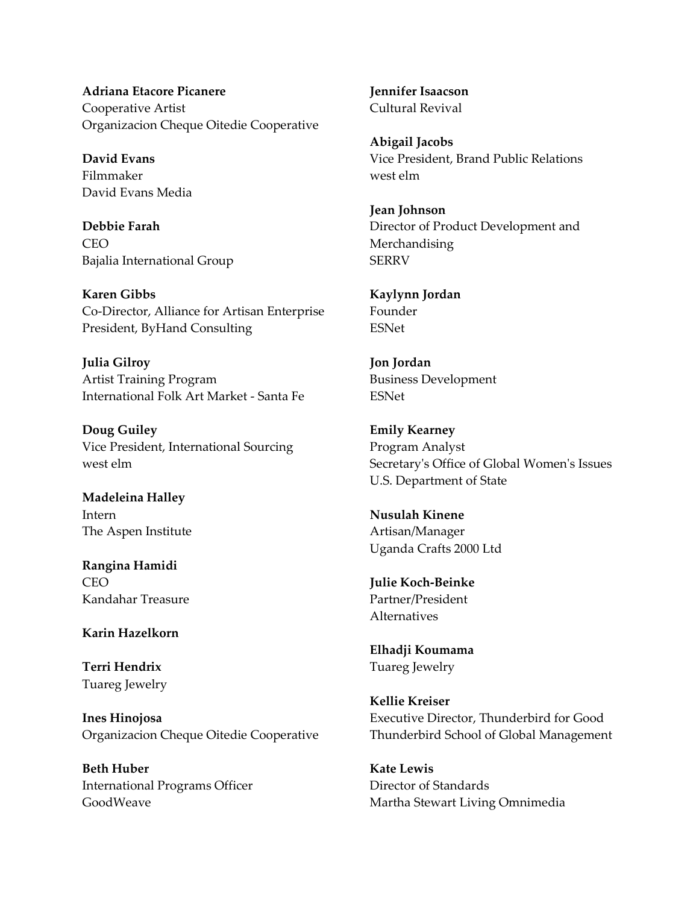**Adriana Etacore Picanere** Cooperative Artist Organizacion Cheque Oitedie Cooperative

**David Evans** Filmmaker David Evans Media

**Debbie Farah** CEO Bajalia International Group

**Karen Gibbs** Co-Director, Alliance for Artisan Enterprise President, ByHand Consulting

**Julia Gilroy** Artist Training Program International Folk Art Market - Santa Fe

**Doug Guiley** Vice President, International Sourcing west elm

**Madeleina Halley** Intern The Aspen Institute

**Rangina Hamidi** CEO Kandahar Treasure

**Karin Hazelkorn**

**Terri Hendrix** Tuareg Jewelry

**Ines Hinojosa** Organizacion Cheque Oitedie Cooperative

**Beth Huber** International Programs Officer GoodWeave

**Jennifer Isaacson** Cultural Revival

**Abigail Jacobs** Vice President, Brand Public Relations west elm

**Jean Johnson** Director of Product Development and Merchandising **SERRV** 

**Kaylynn Jordan** Founder ESNet

**Jon Jordan** Business Development ESNet

**Emily Kearney** Program Analyst Secretary's Office of Global Women's Issues U.S. Department of State

**Nusulah Kinene** Artisan/Manager Uganda Crafts 2000 Ltd

**Julie Koch-Beinke** Partner/President Alternatives

**Elhadji Koumama** Tuareg Jewelry

**Kellie Kreiser** Executive Director, Thunderbird for Good Thunderbird School of Global Management

**Kate Lewis** Director of Standards Martha Stewart Living Omnimedia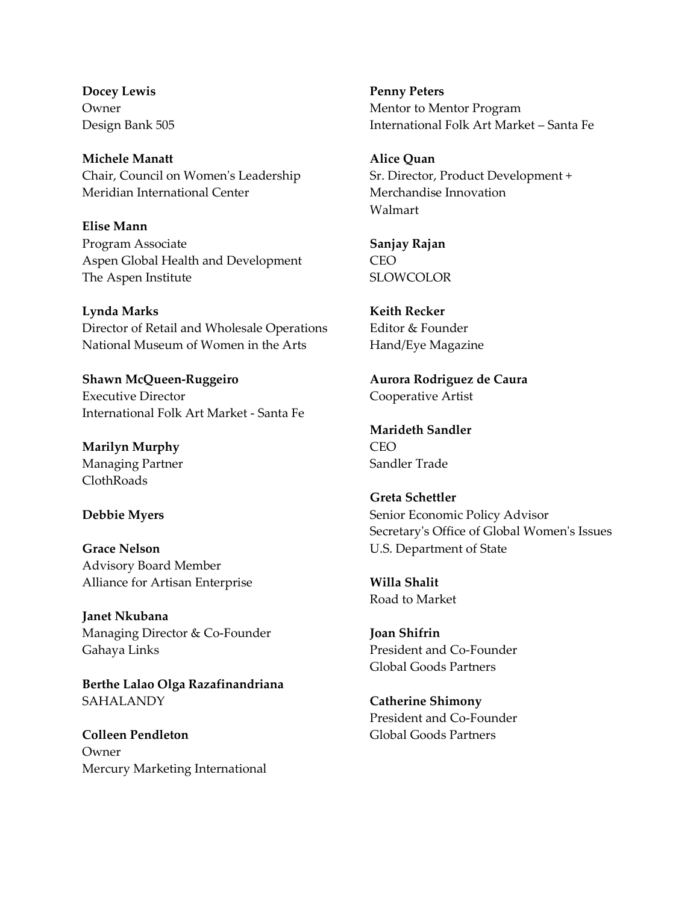**Docey Lewis** Owner Design Bank 505

**Michele Manatt** Chair, Council on Women's Leadership Meridian International Center

**Elise Mann** Program Associate Aspen Global Health and Development The Aspen Institute

**Lynda Marks** Director of Retail and Wholesale Operations National Museum of Women in the Arts

**Shawn McQueen-Ruggeiro** Executive Director International Folk Art Market - Santa Fe

**Marilyn Murphy** Managing Partner ClothRoads

## **Debbie Myers**

**Grace Nelson** Advisory Board Member Alliance for Artisan Enterprise

**Janet Nkubana** Managing Director & Co-Founder Gahaya Links

**Berthe Lalao Olga Razafinandriana SAHALANDY** 

**Colleen Pendleton** Owner Mercury Marketing International **Penny Peters** Mentor to Mentor Program International Folk Art Market – Santa Fe

**Alice Quan** Sr. Director, Product Development + Merchandise Innovation Walmart

**Sanjay Rajan CEO SLOWCOLOR** 

**Keith Recker** Editor & Founder Hand/Eye Magazine

**Aurora Rodriguez de Caura** Cooperative Artist

**Marideth Sandler** CEO Sandler Trade

**Greta Schettler** Senior Economic Policy Advisor Secretary's Office of Global Women's Issues U.S. Department of State

**Willa Shalit** Road to Market

**Joan Shifrin** President and Co-Founder Global Goods Partners

**Catherine Shimony** President and Co-Founder Global Goods Partners